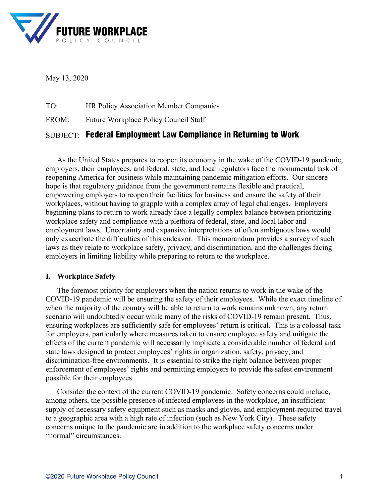

May 13, 2020

TO: HR Policy Association Member Companies

FROM: Future Workplace Policy Council Staff

# SUBJECT:Federal Employment Law Compliance in Returning to Work

As the United States prepares to reopen its economy in the wake of the COVID-19 pandemic, employers, their employees, and federal, state, and local regulators face the monumental task of reopening America for business while maintaining pandemic mitigation efforts. Our sincere hope is that regulatory guidance from the government remains flexible and practical, empowering employers to reopen their facilities for business and ensure the safety of their workplaces, without having to grapple with a complex array of legal challenges. Employers beginning plans to return to work already face a legally complex balance between prioritizing workplace safety and compliance with a plethora of federal, state, and local labor and employment laws. Uncertainty and expansive interpretations of often ambiguous laws would only exacerbate the difficulties of this endeavor. This memorandum provides a survey of such laws as they relate to workplace safety, privacy, and discrimination, and the challenges facing employers in limiting liability while preparing to return to the workplace.

# **I. Workplace Safety**

The foremost priority for employers when the nation returns to work in the wake of the COVID-19 pandemic will be ensuring the safety of their employees. While the exact timeline of when the majority of the country will be able to return to work remains unknown, any return scenario will undoubtedly occur while many of the risks of COVID-19 remain present. Thus, ensuring workplaces are sufficiently safe for employees' return is critical. This is a colossal task for employers, particularly where measures taken to ensure employee safety and mitigate the effects of the current pandemic will necessarily implicate a considerable number of federal and state laws designed to protect employees' rights in organization, safety, privacy, and discrimination-free environments. It is essential to strike the right balance between proper enforcement of employees' rights and permitting employers to provide the safest environment possible for their employees.

Consider the context of the current COVID-19 pandemic. Safety concerns could include, among others, the possible presence of infected employees in the workplace, an insufficient supply of necessary safety equipment such as masks and gloves, and employment-required travel to a geographic area with a high rate of infection (such as New York City). These safety concerns unique to the pandemic are in addition to the workplace safety concerns under "normal" circumstances.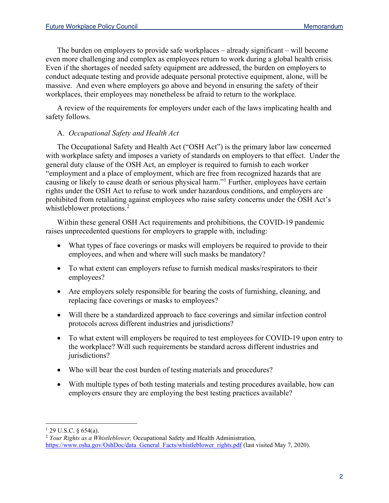The burden on employers to provide safe workplaces – already significant – will become even more challenging and complex as employees return to work during a global health crisis. Even if the shortages of needed safety equipment are addressed, the burden on employers to conduct adequate testing and provide adequate personal protective equipment, alone, will be massive. And even where employers go above and beyond in ensuring the safety of their workplaces, their employees may nonetheless be afraid to return to the workplace.

A review of the requirements for employers under each of the laws implicating health and safety follows.

# A. *Occupational Safety and Health Act*

The Occupational Safety and Health Act ("OSH Act") is the primary labor law concerned with workplace safety and imposes a variety of standards on employers to that effect. Under the general duty clause of the OSH Act, an employer is required to furnish to each worker "employment and a place of employment, which are free from recognized hazards that are causing or likely to cause death or serious physical harm."[1](#page-1-0) Further, employees have certain rights under the OSH Act to refuse to work under hazardous conditions, and employers are prohibited from retaliating against employees who raise safety concerns under the OSH Act's whistleblower protections.<sup>[2](#page-1-1)</sup>

Within these general OSH Act requirements and prohibitions, the COVID-19 pandemic raises unprecedented questions for employers to grapple with, including:

- What types of face coverings or masks will employers be required to provide to their employees, and when and where will such masks be mandatory?
- To what extent can employers refuse to furnish medical masks/respirators to their employees?
- Are employers solely responsible for bearing the costs of furnishing, cleaning, and replacing face coverings or masks to employees?
- Will there be a standardized approach to face coverings and similar infection control protocols across different industries and jurisdictions?
- To what extent will employers be required to test employees for COVID-19 upon entry to the workplace? Will such requirements be standard across different industries and jurisdictions?
- Who will bear the cost burden of testing materials and procedures?
- With multiple types of both testing materials and testing procedures available, how can employers ensure they are employing the best testing practices available?

<span id="page-1-0"></span> $1$  29 U.S.C. § 654(a).

<span id="page-1-1"></span><sup>2</sup> *Your Rights as a Whistleblower,* Occupational Safety and Health Administration, [https://www.osha.gov/OshDoc/data\\_General\\_Facts/whistleblower\\_rights.pdf](https://www.osha.gov/OshDoc/data_General_Facts/whistleblower_rights.pdf) (last visited May 7, 2020).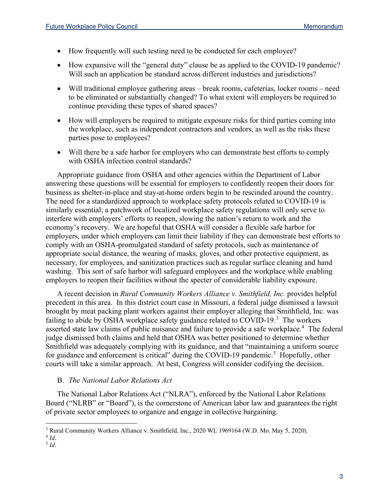- How frequently will such testing need to be conducted for each employee?
- How expansive will the "general duty" clause be as applied to the COVID-19 pandemic? Will such an application be standard across different industries and jurisdictions?
- Will traditional employee gathering areas break rooms, cafeterias, locker rooms need to be eliminated or substantially changed? To what extent will employers be required to continue providing these types of shared spaces?
- How will employers be required to mitigate exposure risks for third parties coming into the workplace, such as independent contractors and vendors, as well as the risks these parties pose to employees?
- Will there be a safe harbor for employers who can demonstrate best efforts to comply with OSHA infection control standards?

Appropriate guidance from OSHA and other agencies within the Department of Labor answering these questions will be essential for employers to confidently reopen their doors for business as shelter-in-place and stay-at-home orders begin to be rescinded around the country. The need for a standardized approach to workplace safety protocols related to COVID-19 is similarly essential; a patchwork of localized workplace safety regulations will only serve to interfere with employers' efforts to reopen, slowing the nation's return to work and the economy's recovery. We are hopeful that OSHA will consider a flexible safe harbor for employers, under which employers can limit their liability if they can demonstrate best efforts to comply with an OSHA-promulgated standard of safety protocols, such as maintenance of appropriate social distance, the wearing of masks, gloves, and other protective equipment, as necessary, for employees, and sanitization practices such as regular surface cleaning and hand washing. This sort of safe harbor will safeguard employees and the workplace while enabling employers to reopen their facilities without the specter of considerable liability exposure.

A recent decision in *Rural Community Workers Alliance v. Smithfield, Inc.* provides helpful precedent in this area. In this district court case in Missouri, a federal judge dismissed a lawsuit brought by meat packing plant workers against their employer alleging that Smithfield, Inc. was failing to abide by OSHA workplace safety guidance related to COVID-19. $^3$  $^3$  The workers asserted state law claims of public nuisance and failure to provide a safe workplace.<sup>[4](#page-2-1)</sup> The federal judge dismissed both claims and held that OSHA was better positioned to determine whether Smithfield was adequately complying with its guidance, and that "maintaining a uniform source for guidance and enforcement is critical" during the COVID-19 pandemic.<sup>[5](#page-2-2)</sup> Hopefully, other courts will take a similar approach. At best, Congress will consider codifying the decision.

# B. *The National Labor Relations Act*

The National Labor Relations Act ("NLRA"), enforced by the National Labor Relations Board ("NLRB" or "Board"), is the cornerstone of American labor law and guarantees the right of private sector employees to organize and engage in collective bargaining.

<span id="page-2-2"></span> $^{5}$  *Id.* 

<span id="page-2-0"></span><sup>&</sup>lt;sup>3</sup> Rural Community Workers Alliance v. Smithfield, Inc., 2020 WL 1969164 (W.D. Mo. May 5, 2020).<br><sup>4</sup> Id.

<span id="page-2-1"></span>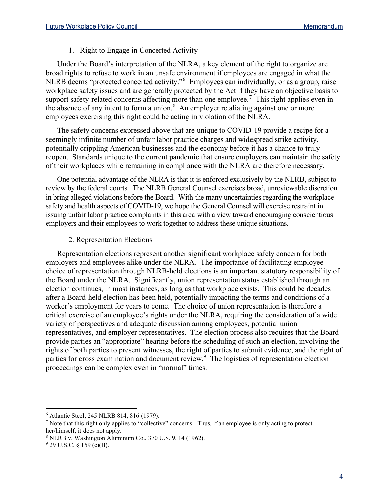#### 1. Right to Engage in Concerted Activity

Under the Board's interpretation of the NLRA, a key element of the right to organize are broad rights to refuse to work in an unsafe environment if employees are engaged in what the NLRB deems "protected concerted activity."[6](#page-3-0) Employees can individually, or as a group, raise workplace safety issues and are generally protected by the Act if they have an objective basis to support safety-related concerns affecting more than one employee.<sup>[7](#page-3-1)</sup> This right applies even in the absence of any intent to form a union. $8$  An employer retaliating against one or more employees exercising this right could be acting in violation of the NLRA.

The safety concerns expressed above that are unique to COVID-19 provide a recipe for a seemingly infinite number of unfair labor practice charges and widespread strike activity, potentially crippling American businesses and the economy before it has a chance to truly reopen. Standards unique to the current pandemic that ensure employers can maintain the safety of their workplaces while remaining in compliance with the NLRA are therefore necessary.

One potential advantage of the NLRA is that it is enforced exclusively by the NLRB, subject to review by the federal courts. The NLRB General Counsel exercises broad, unreviewable discretion in bring alleged violations before the Board. With the many uncertainties regarding the workplace safety and health aspects of COVID-19, we hope the General Counsel will exercise restraint in issuing unfair labor practice complaints in this area with a view toward encouraging conscientious employers and their employees to work together to address these unique situations.

#### 2. Representation Elections

Representation elections represent another significant workplace safety concern for both employers and employees alike under the NLRA. The importance of facilitating employee choice of representation through NLRB-held elections is an important statutory responsibility of the Board under the NLRA. Significantly, union representation status established through an election continues, in most instances, as long as that workplace exists. This could be decades after a Board-held election has been held, potentially impacting the terms and conditions of a worker's employment for years to come. The choice of union representation is therefore a critical exercise of an employee's rights under the NLRA, requiring the consideration of a wide variety of perspectives and adequate discussion among employees, potential union representatives, and employer representatives. The election process also requires that the Board provide parties an "appropriate" hearing before the scheduling of such an election, involving the rights of both parties to present witnesses, the right of parties to submit evidence, and the right of parties for cross examination and document review.<sup>[9](#page-3-3)</sup> The logistics of representation election proceedings can be complex even in "normal" times.

<span id="page-3-0"></span><sup>6</sup> Atlantic Steel, 245 NLRB 814, 816 (1979).

<span id="page-3-1"></span><sup>7</sup> Note that this right only applies to "collective" concerns. Thus, if an employee is only acting to protect her/himself, it does not apply.

<span id="page-3-2"></span><sup>8</sup> NLRB v. Washington Aluminum Co., 370 U.S. 9, 14 (1962).

<span id="page-3-3"></span> $9$  29 U.S.C. § 159 (c)(B).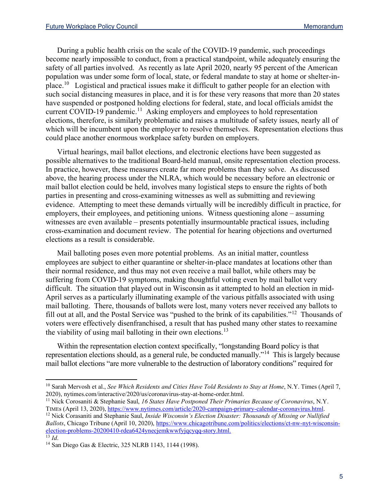During a public health crisis on the scale of the COVID-19 pandemic, such proceedings become nearly impossible to conduct, from a practical standpoint, while adequately ensuring the safety of all parties involved. As recently as late April 2020, nearly 95 percent of the American population was under some form of local, state, or federal mandate to stay at home or shelter-inplace.[10](#page-4-0) Logistical and practical issues make it difficult to gather people for an election with such social distancing measures in place, and it is for these very reasons that more than 20 states have suspended or postponed holding elections for federal, state, and local officials amidst the current COVID-19 pandemic.<sup>[11](#page-4-1)</sup> Asking employers and employees to hold representation elections, therefore, is similarly problematic and raises a multitude of safety issues, nearly all of which will be incumbent upon the employer to resolve themselves. Representation elections thus could place another enormous workplace safety burden on employers.

Virtual hearings, mail ballot elections, and electronic elections have been suggested as possible alternatives to the traditional Board-held manual, onsite representation election process. In practice, however, these measures create far more problems than they solve. As discussed above, the hearing process under the NLRA, which would be necessary before an electronic or mail ballot election could be held, involves many logistical steps to ensure the rights of both parties in presenting and cross-examining witnesses as well as submitting and reviewing evidence. Attempting to meet these demands virtually will be incredibly difficult in practice, for employers, their employees, and petitioning unions. Witness questioning alone – assuming witnesses are even available – presents potentially insurmountable practical issues, including cross-examination and document review. The potential for hearing objections and overturned elections as a result is considerable.

Mail balloting poses even more potential problems. As an initial matter, countless employees are subject to either quarantine or shelter-in-place mandates at locations other than their normal residence, and thus may not even receive a mail ballot, while others may be suffering from COVID-19 symptoms, making thoughtful voting even by mail ballot very difficult. The situation that played out in Wisconsin as it attempted to hold an election in mid-April serves as a particularly illuminating example of the various pitfalls associated with using mail balloting. There, thousands of ballots were lost, many voters never received any ballots to fill out at all, and the Postal Service was "pushed to the brink of its capabilities."[12](#page-4-2) Thousands of voters were effectively disenfranchised, a result that has pushed many other states to reexamine the viability of using mail balloting in their own elections.<sup>[13](#page-4-3)</sup>

Within the representation election context specifically, "longstanding Board policy is that representation elections should, as a general rule, be conducted manually."[14](#page-4-4) This is largely because mail ballot elections "are more vulnerable to the destruction of laboratory conditions" required for

<span id="page-4-1"></span><sup>11</sup> Nick Corosaniti & Stephanie Saul, *16 States Have Postponed Their Primaries Because of Coronavirus*, N.Y. TIMEs (April 13, 2020)[, https://www.nytimes.com/article/2020-campaign-primary-calendar-coronavirus.html.](https://www.nytimes.com/article/2020-campaign-primary-calendar-coronavirus.html)

<span id="page-4-0"></span><sup>&</sup>lt;sup>10</sup> Sarah Mervosh et al., *See Which Residents and Cities Have Told Residents to Stay at Home*, N.Y. Times (April 7, 2020), nytimes.com/interactive/2020/us/coronavirus-stay-at-home-order.html.

<span id="page-4-2"></span><sup>12</sup> Nick Corasaniti and Stephanie Saul, *Inside Wisconsin's Election Disaster: Thousands of Missing or Nullified Ballots*, Chicago Tribune (April 10, 2020)[, https://www.chicagotribune.com/politics/elections/ct-nw-nyt-wisconsin](https://www.chicagotribune.com/politics/elections/ct-nw-nyt-wisconsin-election-problems-20200410-rdea6424ynecjemkwwfyjqcyqq-story.html)[election-problems-20200410-rdea6424ynecjemkwwfyjqcyqq-story.html.](https://www.chicagotribune.com/politics/elections/ct-nw-nyt-wisconsin-election-problems-20200410-rdea6424ynecjemkwwfyjqcyqq-story.html)<br><sup>13</sup> Id.

<span id="page-4-4"></span><span id="page-4-3"></span><sup>&</sup>lt;sup>14</sup> San Diego Gas & Electric, 325 NLRB 1143, 1144 (1998).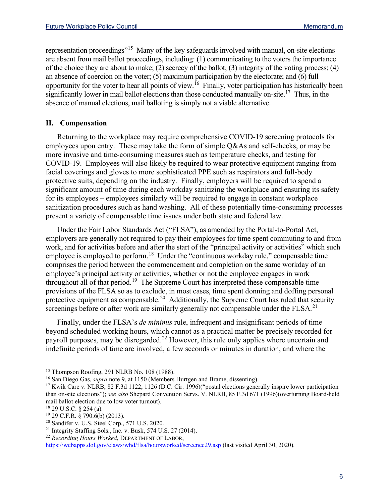representation proceedings"[15](#page-5-0) Many of the key safeguards involved with manual, on-site elections are absent from mail ballot proceedings, including: (1) communicating to the voters the importance of the choice they are about to make; (2) secrecy of the ballot; (3) integrity of the voting process; (4) an absence of coercion on the voter; (5) maximum participation by the electorate; and (6) full opportunity for the voter to hear all points of view.[16](#page-5-1) Finally, voter participation has historically been significantly lower in mail ballot elections than those conducted manually on-site.<sup>[17](#page-5-2)</sup> Thus, in the absence of manual elections, mail balloting is simply not a viable alternative.

#### **II. Compensation**

Returning to the workplace may require comprehensive COVID-19 screening protocols for employees upon entry. These may take the form of simple Q&As and self-checks, or may be more invasive and time-consuming measures such as temperature checks, and testing for COVID-19. Employees will also likely be required to wear protective equipment ranging from facial coverings and gloves to more sophisticated PPE such as respirators and full-body protective suits, depending on the industry. Finally, employers will be required to spend a significant amount of time during each workday sanitizing the workplace and ensuring its safety for its employees – employees similarly will be required to engage in constant workplace sanitization procedures such as hand washing. All of these potentially time-consuming processes present a variety of compensable time issues under both state and federal law.

Under the Fair Labor Standards Act ("FLSA"), as amended by the Portal-to-Portal Act, employers are generally not required to pay their employees for time spent commuting to and from work, and for activities before and after the start of the "principal activity or activities" which such employee is employed to perform.<sup>[18](#page-5-3)</sup> Under the "continuous workday rule," compensable time comprises the period between the commencement and completion on the same workday of an employee's principal activity or activities, whether or not the employee engages in work throughout all of that period.[19](#page-5-4) The Supreme Court has interpreted these compensable time provisions of the FLSA so as to exclude, in most cases, time spent donning and doffing personal protective equipment as compensable.<sup>[20](#page-5-5)</sup> Additionally, the Supreme Court has ruled that security screenings before or after work are similarly generally not compensable under the FLSA.<sup>[21](#page-5-6)</sup>

Finally, under the FLSA's *de minimis* rule, infrequent and insignificant periods of time beyond scheduled working hours, which cannot as a practical matter be precisely recorded for payroll purposes, may be disregarded.<sup>[22](#page-5-7)</sup> However, this rule only applies where uncertain and indefinite periods of time are involved, a few seconds or minutes in duration, and where the

<span id="page-5-7"></span><https://webapps.dol.gov/elaws/whd/flsa/hoursworked/screenee29.asp> (last visited April 30, 2020).

<span id="page-5-0"></span><sup>15</sup> Thompson Roofing, 291 NLRB No. 108 (1988).

<span id="page-5-1"></span><sup>16</sup> San Diego Gas, *supra* note 9, at 1150 (Members Hurtgen and Brame, dissenting).

<span id="page-5-2"></span><sup>&</sup>lt;sup>17</sup> Kwik Care v. NLRB, 82 F.3d 1122, 1126 (D.C. Cir. 1996)("postal elections generally inspire lower participation than on-site elections"); *see also* Shepard Convention Servs. V. NLRB, 85 F.3d 671 (1996)(overturning Board-held mail ballot election due to low voter turnout).

<span id="page-5-3"></span><sup>18</sup> 29 U.S.C. § 254 (a).

<sup>19</sup> 29 C.F.R. § 790.6(b) (2013).

<span id="page-5-5"></span><span id="page-5-4"></span><sup>20</sup> Sandifer v. U.S. Steel Corp., 571 U.S. 2020.

<span id="page-5-6"></span><sup>&</sup>lt;sup>21</sup> Integrity Staffing Sols., Inc. v. Busk, 574 U.S. 27 (2014).<br><sup>22</sup> *Recording Hours Worked*, DEPARTMENT OF LABOR,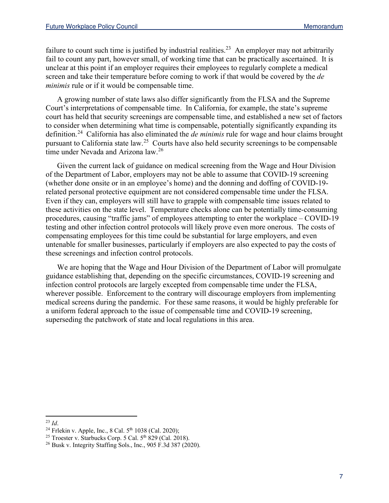failure to count such time is justified by industrial realities.<sup>[23](#page-6-0)</sup> An employer may not arbitrarily fail to count any part, however small, of working time that can be practically ascertained. It is unclear at this point if an employer requires their employees to regularly complete a medical screen and take their temperature before coming to work if that would be covered by the *de minimis* rule or if it would be compensable time.

A growing number of state laws also differ significantly from the FLSA and the Supreme Court's interpretations of compensable time. In California, for example, the state's supreme court has held that security screenings are compensable time, and established a new set of factors to consider when determining what time is compensable, potentially significantly expanding its definition.[24](#page-6-1) California has also eliminated the *de minimis* rule for wage and hour claims brought pursuant to California state law.[25](#page-6-2) Courts have also held security screenings to be compensable time under Nevada and Arizona law.<sup>[26](#page-6-3)</sup>

Given the current lack of guidance on medical screening from the Wage and Hour Division of the Department of Labor, employers may not be able to assume that COVID-19 screening (whether done onsite or in an employee's home) and the donning and doffing of COVID-19 related personal protective equipment are not considered compensable time under the FLSA. Even if they can, employers will still have to grapple with compensable time issues related to these activities on the state level. Temperature checks alone can be potentially time-consuming procedures, causing "traffic jams" of employees attempting to enter the workplace – COVID-19 testing and other infection control protocols will likely prove even more onerous. The costs of compensating employees for this time could be substantial for large employers, and even untenable for smaller businesses, particularly if employers are also expected to pay the costs of these screenings and infection control protocols.

We are hoping that the Wage and Hour Division of the Department of Labor will promulgate guidance establishing that, depending on the specific circumstances, COVID-19 screening and infection control protocols are largely excepted from compensable time under the FLSA, wherever possible. Enforcement to the contrary will discourage employers from implementing medical screens during the pandemic. For these same reasons, it would be highly preferable for a uniform federal approach to the issue of compensable time and COVID-19 screening, superseding the patchwork of state and local regulations in this area.

<span id="page-6-1"></span><span id="page-6-0"></span><sup>&</sup>lt;sup>23</sup> *Id.* <sup>24</sup> Frlekin v. Apple, Inc., 8 Cal. 5<sup>th</sup> 1038 (Cal. 2020);

<span id="page-6-2"></span><sup>&</sup>lt;sup>25</sup> Troester v. Starbucks Corp. 5 Cal.  $5<sup>th</sup> 829$  (Cal. 2018).

<span id="page-6-3"></span><sup>26</sup> Busk v. Integrity Staffing Sols., Inc., 905 F.3d 387 (2020).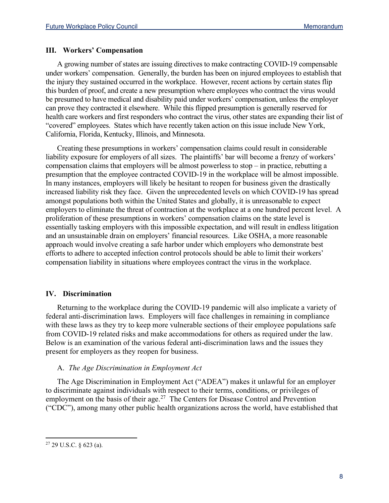#### **III. Workers' Compensation**

A growing number of states are issuing directives to make contracting COVID-19 compensable under workers' compensation. Generally, the burden has been on injured employees to establish that the injury they sustained occurred in the workplace. However, recent actions by certain states flip this burden of proof, and create a new presumption where employees who contract the virus would be presumed to have medical and disability paid under workers' compensation, unless the employer can prove they contracted it elsewhere. While this flipped presumption is generally reserved for health care workers and first responders who contract the virus, other states are expanding their list of "covered" employees. States which have recently taken action on this issue include New York, California, Florida, Kentucky, Illinois, and Minnesota.

Creating these presumptions in workers' compensation claims could result in considerable liability exposure for employers of all sizes. The plaintiffs' bar will become a frenzy of workers' compensation claims that employers will be almost powerless to stop – in practice, rebutting a presumption that the employee contracted COVID-19 in the workplace will be almost impossible. In many instances, employers will likely be hesitant to reopen for business given the drastically increased liability risk they face. Given the unprecedented levels on which COVID-19 has spread amongst populations both within the United States and globally, it is unreasonable to expect employers to eliminate the threat of contraction at the workplace at a one hundred percent level. A proliferation of these presumptions in workers' compensation claims on the state level is essentially tasking employers with this impossible expectation, and will result in endless litigation and an unsustainable drain on employers' financial resources. Like OSHA, a more reasonable approach would involve creating a safe harbor under which employers who demonstrate best efforts to adhere to accepted infection control protocols should be able to limit their workers' compensation liability in situations where employees contract the virus in the workplace.

#### **IV. Discrimination**

Returning to the workplace during the COVID-19 pandemic will also implicate a variety of federal anti-discrimination laws. Employers will face challenges in remaining in compliance with these laws as they try to keep more vulnerable sections of their employee populations safe from COVID-19 related risks and make accommodations for others as required under the law. Below is an examination of the various federal anti-discrimination laws and the issues they present for employers as they reopen for business.

#### A. *The Age Discrimination in Employment Act*

The Age Discrimination in Employment Act ("ADEA") makes it unlawful for an employer to discriminate against individuals with respect to their terms, conditions, or privileges of employment on the basis of their age.<sup>27</sup> The Centers for Disease Control and Prevention ("CDC"), among many other public health organizations across the world, have established that

<span id="page-7-0"></span><sup>27</sup> 29 U.S.C. § 623 (a).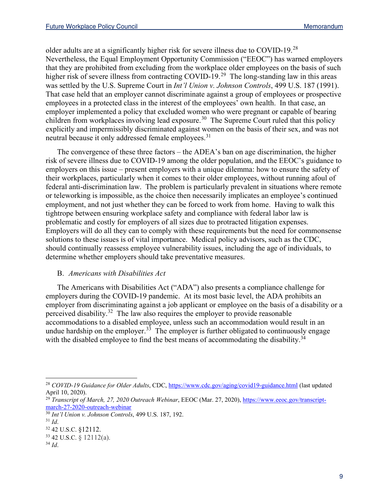older adults are at a significantly higher risk for severe illness due to COVID-19.[28](#page-8-0) Nevertheless, the Equal Employment Opportunity Commission ("EEOC") has warned employers that they are prohibited from excluding from the workplace older employees on the basis of such higher risk of severe illness from contracting COVID-19.<sup>29</sup> The long-standing law in this areas was settled by the U.S. Supreme Court in *Int'l Union v. Johnson Controls*, 499 U.S. 187 (1991). That case held that an employer cannot discriminate against a group of employees or prospective employees in a protected class in the interest of the employees' own health. In that case, an employer implemented a policy that excluded women who were pregnant or capable of bearing children from workplaces involving lead exposure.<sup>[30](#page-8-2)</sup> The Supreme Court ruled that this policy explicitly and impermissibly discriminated against women on the basis of their sex, and was not neutral because it only addressed female employees.<sup>[31](#page-8-3)</sup>

The convergence of these three factors – the ADEA's ban on age discrimination, the higher risk of severe illness due to COVID-19 among the older population, and the EEOC's guidance to employers on this issue – present employers with a unique dilemma: how to ensure the safety of their workplaces, particularly when it comes to their older employees, without running afoul of federal anti-discrimination law. The problem is particularly prevalent in situations where remote or teleworking is impossible, as the choice then necessarily implicates an employee's continued employment, and not just whether they can be forced to work from home. Having to walk this tightrope between ensuring workplace safety and compliance with federal labor law is problematic and costly for employers of all sizes due to protracted litigation expenses. Employers will do all they can to comply with these requirements but the need for commonsense solutions to these issues is of vital importance. Medical policy advisors, such as the CDC, should continually reassess employee vulnerability issues, including the age of individuals, to determine whether employers should take preventative measures.

# B. *Americans with Disabilities Act*

The Americans with Disabilities Act ("ADA") also presents a compliance challenge for employers during the COVID-19 pandemic. At its most basic level, the ADA prohibits an employer from discriminating against a job applicant or employee on the basis of a disability or a perceived disability.<sup>[32](#page-8-4)</sup> The law also requires the employer to provide reasonable accommodations to a disabled employee, unless such an accommodation would result in an undue hardship on the employer.<sup>[33](#page-8-5)</sup> The employer is further obligated to continuously engage with the disabled employee to find the best means of accommodating the disability.<sup>[34](#page-8-6)</sup>

<span id="page-8-0"></span><sup>28</sup> *COVID-19 Guidance for Older Adults*, CDC,<https://www.cdc.gov/aging/covid19-guidance.html> (last updated April 10, 2020).

<span id="page-8-1"></span><sup>&</sup>lt;sup>29</sup> *Transcript of March, 27, 2020 Outreach Webinar*, EEOC (Mar. 27, 2020), [https://www.eeoc.gov/transcript](https://www.eeoc.gov/transcript-march-27-2020-outreach-webinar)[march-27-2020-outreach-webinar](https://www.eeoc.gov/transcript-march-27-2020-outreach-webinar)

<span id="page-8-2"></span><sup>30</sup> *Int'l Union v. Johnson Controls*, 499 U.S. 187, 192.

<span id="page-8-3"></span>

<span id="page-8-4"></span><sup>31</sup> *Id*. 32 42 U.S.C. §12112.

<span id="page-8-5"></span><sup>33</sup> 42 U.S.C. § 12112(a).

<span id="page-8-6"></span><sup>34</sup> *Id*.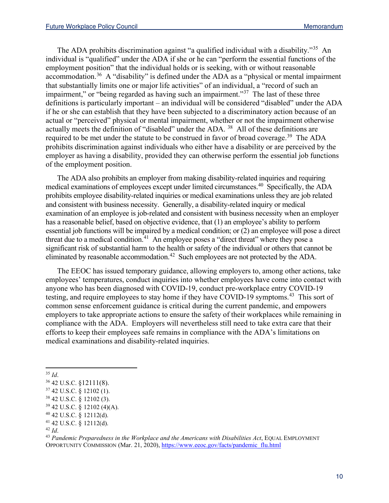The ADA prohibits discrimination against "a qualified individual with a disability."<sup>[35](#page-9-0)</sup> An individual is "qualified" under the ADA if she or he can "perform the essential functions of the employment position" that the individual holds or is seeking, with or without reasonable accommodation.<sup>[36](#page-9-1)</sup> A "disability" is defined under the ADA as a "physical or mental impairment that substantially limits one or major life activities" of an individual, a "record of such an impairment," or "being regarded as having such an impairment."<sup>[37](#page-9-2)</sup> The last of these three definitions is particularly important – an individual will be considered "disabled" under the ADA if he or she can establish that they have been subjected to a discriminatory action because of an actual or "perceived" physical or mental impairment, whether or not the impairment otherwise actually meets the definition of "disabled" under the ADA. <sup>[38](#page-9-3)</sup> All of these definitions are required to be met under the statute to be construed in favor of broad coverage.<sup>[39](#page-9-4)</sup> The ADA prohibits discrimination against individuals who either have a disability or are perceived by the employer as having a disability, provided they can otherwise perform the essential job functions of the employment position.

The ADA also prohibits an employer from making disability-related inquiries and requiring medical examinations of employees except under limited circumstances.[40](#page-9-5) Specifically, the ADA prohibits employee disability-related inquiries or medical examinations unless they are job related and consistent with business necessity. Generally, a disability-related inquiry or medical examination of an employee is job-related and consistent with business necessity when an employer has a reasonable belief, based on objective evidence, that (1) an employee's ability to perform essential job functions will be impaired by a medical condition; or (2) an employee will pose a direct threat due to a medical condition.<sup>[41](#page-9-6)</sup> An employee poses a "direct threat" where they pose a significant risk of substantial harm to the health or safety of the individual or others that cannot be eliminated by reasonable accommodation.<sup>[42](#page-9-7)</sup> Such employees are not protected by the ADA.

The EEOC has issued temporary guidance, allowing employers to, among other actions, take employees' temperatures, conduct inquiries into whether employees have come into contact with anyone who has been diagnosed with COVID-19, conduct pre-workplace entry COVID-19 testing, and require employees to stay home if they have COVID-19 symptoms.<sup>[43](#page-9-8)</sup> This sort of common sense enforcement guidance is critical during the current pandemic, and empowers employers to take appropriate actions to ensure the safety of their workplaces while remaining in compliance with the ADA. Employers will nevertheless still need to take extra care that their efforts to keep their employees safe remains in compliance with the ADA's limitations on medical examinations and disability-related inquiries.

<span id="page-9-1"></span><span id="page-9-0"></span><sup>35</sup> *Id*. 36 42 U.S.C. §12111(8).

<span id="page-9-2"></span> $37$  42 U.S.C. § 12102 (1).

<span id="page-9-3"></span><sup>38</sup> 42 U.S.C. § 12102 (3).

<span id="page-9-4"></span><sup>39</sup> 42 U.S.C. § 12102 (4)(A).

<span id="page-9-5"></span><sup>40</sup> 42 U.S.C. § 12112(d).

<span id="page-9-6"></span> $^{41}$  42 U.S.C. § 12112(d).<br> $^{42}$  *Id.* 

<span id="page-9-7"></span>

<span id="page-9-8"></span><sup>42</sup> *Id*. 43 *Pandemic Preparedness in the Workplace and the Americans with Disabilities Act*, EQUAL EMPLOYMENT OPPORTUNITY COMMISSION (Mar. 21, 2020), [https://www.eeoc.gov/facts/pandemic\\_flu.html](https://www.eeoc.gov/facts/pandemic_flu.html)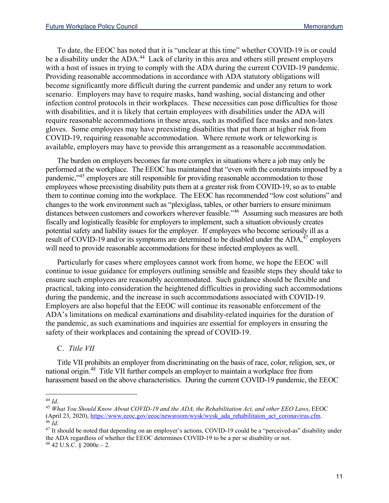To date, the EEOC has noted that it is "unclear at this time" whether COVID-19 is or could be a disability under the ADA.<sup>[44](#page-10-0)</sup> Lack of clarity in this area and others still present employers with a host of issues in trying to comply with the ADA during the current COVID-19 pandemic. Providing reasonable accommodations in accordance with ADA statutory obligations will become significantly more difficult during the current pandemic and under any return to work scenario. Employers may have to require masks, hand washing, social distancing and other infection control protocols in their workplaces. These necessities can pose difficulties for those with disabilities, and it is likely that certain employees with disabilities under the ADA will require reasonable accommodations in these areas, such as modified face masks and non-latex gloves. Some employees may have preexisting disabilities that put them at higher risk from COVID-19, requiring reasonable accommodation. Where remote work or teleworking is available, employers may have to provide this arrangement as a reasonable accommodation.

The burden on employers becomes far more complex in situations where a job may only be performed at the workplace. The EEOC has maintained that "even with the constraints imposed by a pandemic,"<sup>[45](#page-10-1)</sup> employers are still responsible for providing reasonable accommodation to those employees whose preexisting disability puts them at a greater risk from COVID-19, so as to enable them to continue coming into the workplace. The EEOC has recommended "low cost solutions" and changes to the work environment such as "plexiglass, tables, or other barriers to ensure minimum distances between customers and coworkers wherever feasible."<sup>[46](#page-10-2)</sup> Assuming such measures are both fiscally and logistically feasible for employers to implement, such a situation obviously creates potential safety and liability issues for the employer. If employees who become seriously ill as a result of COVID-19 and/or its symptoms are determined to be disabled under the ADA,<sup>[47](#page-10-3)</sup> employers will need to provide reasonable accommodations for these infected employees as well.

Particularly for cases where employees cannot work from home, we hope the EEOC will continue to issue guidance for employers outlining sensible and feasible steps they should take to ensure such employees are reasonably accommodated. Such guidance should be flexible and practical, taking into consideration the heightened difficulties in providing such accommodations during the pandemic, and the increase in such accommodations associated with COVID-19. Employers are also hopeful that the EEOC will continue its reasonable enforcement of the ADA's limitations on medical examinations and disability-related inquiries for the duration of the pandemic, as such examinations and inquiries are essential for employers in ensuring the safety of their workplaces and containing the spread of COVID-19.

C. *Title VII*

Title VII prohibits an employer from discriminating on the basis of race, color, religion, sex, or national origin. [48](#page-10-4) Title VII further compels an employer to maintain a workplace free from harassment based on the above characteristics. During the current COVID-19 pandemic, the EEOC

<span id="page-10-1"></span><span id="page-10-0"></span><sup>&</sup>lt;sup>44</sup> Id.<br><sup>45</sup> *What You Should Know About COVID-19 and the ADA, the Rehabilitation Act, and other EEO Laws, EEOC* (April 23, 2020), [https://www.eeoc.gov/eeoc/newsroom/wysk/wysk\\_ada\\_rehabilitaion\\_act\\_coronavirus.cfm.](https://www.eeoc.gov/eeoc/newsroom/wysk/wysk_ada_rehabilitaion_act_coronavirus.cfm)<br><sup>46</sup> Id

<span id="page-10-4"></span><span id="page-10-3"></span><span id="page-10-2"></span><sup>&</sup>lt;sup>47</sup> It should be noted that depending on an employer's actions, COVID-19 could be a "perceived-as" disability under the ADA regardless of whether the EEOC determines COVID-19 to be a per se disability or not.  $48$  42 U.S.C. § 2000e – 2.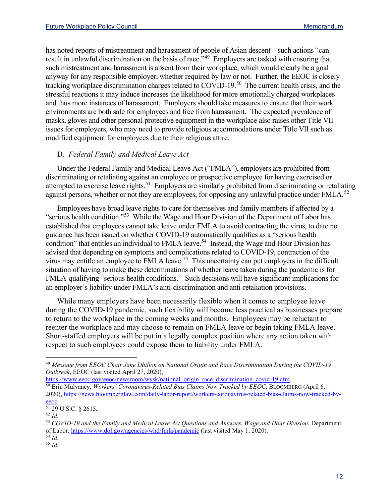has noted reports of mistreatment and harassment of people of Asian descent – such actions "can result in unlawful discrimination on the basis of race.<sup>1,[49](#page-11-0)</sup> Employers are tasked with ensuring that such mistreatment and harassment is absent from their workplace, which would clearly be a goal anyway for any responsible employer, whether required by law or not. Further, the EEOC is closely tracking workplace discrimination charges related to COVID-19.<sup>[50](#page-11-1)</sup> The current health crisis, and the stressful reactions it may induce increases the likelihood for more emotionally charged workplaces and thus more instances of harassment. Employers should take measures to ensure that their work environments are both safe for employees and free from harassment. The expected prevalence of masks, gloves and other personal protective equipment in the workplace also raises other Title VII issues for employers, who may need to provide religious accommodations under Title VII such as modified equipment for employees due to their religious attire.

# D. *Federal Family and Medical Leave Act*

Under the Federal Family and Medical Leave Act ("FMLA"), employers are prohibited from discriminating or retaliating against an employee or prospective employee for having exercised or attempted to exercise leave rights.<sup>[51](#page-11-2)</sup> Employers are similarly prohibited from discriminating or retaliating against persons, whether or not they are employees, for opposing any unlawful practice under FMLA.<sup>[52](#page-11-3)</sup>

Employees have broad leave rights to care for themselves and family members if affected by a "serious health condition."[53](#page-11-4) While the Wage and Hour Division of the Department of Labor has established that employees cannot take leave under FMLA to avoid contracting the virus, to date no guidance has been issued on whether COVID-19 automatically qualifies as a "serious health condition" that entitles an individual to FMLA leave.<sup>[54](#page-11-5)</sup> Instead, the Wage and Hour Division has advised that depending on symptoms and complications related to COVID-19, contraction of the virus may entitle an employee to FMLA leave.<sup>[55](#page-11-6)</sup> This uncertainty can put employers in the difficult situation of having to make these determinations of whether leave taken during the pandemic is for FMLA-qualifying "serious health conditions." Such decisions will have significant implications for an employer's liability under FMLA's anti-discrimination and anti-retaliation provisions.

While many employers have been necessarily flexible when it comes to employee leave during the COVID-19 pandemic, such flexibility will become less practical as businesses prepare to return to the workplace in the coming weeks and months. Employees may be reluctant to reenter the workplace and may choose to remain on FMLA leave or begin taking FMLA leave. Short-staffed employers will be put in a legally complex position where any action taken with respect to such employees could expose them to liability under FMLA.

[https://www.eeoc.gov/eeoc/newsroom/wysk/national\\_origin\\_race\\_discrimination\\_covid-19.cfm.](https://www.eeoc.gov/eeoc/newsroom/wysk/national_origin_race_discrimination_covid-19.cfm)

<span id="page-11-1"></span><sup>50</sup> Erin Mulvaney, *Workers' Coronavirus-Related Bias Claims Now Tracked by EEOC*, BLOOMBERG (April 6, 2020), [https://news.bloomberglaw.com/daily-labor-report/workers-coronavirus-related-bias-claims-now-tracked-by](https://news.bloomberglaw.com/daily-labor-report/workers-coronavirus-related-bias-claims-now-tracked-by-eeoc)[eeoc.](https://news.bloomberglaw.com/daily-labor-report/workers-coronavirus-related-bias-claims-now-tracked-by-eeoc)

<span id="page-11-0"></span><sup>49</sup> *Message from EEOC Chair Jane Dhillon on National Origin and Race Discrimination During the COVID-19 Outbreak*, EEOC (last visited April 27, 2020),

<span id="page-11-2"></span> $^{51}$  29 U.S.C. § 2615.<br> $^{52}$  *Id.* 

<span id="page-11-4"></span><span id="page-11-3"></span><sup>52</sup> *Id*. 53 *COVID-19 and the Family and Medical Leave Act Questions and Answers*, *Wage and Hour Division*, Department of Labor[, https://www.dol.gov/agencies/whd/fmla/pandemic](https://www.dol.gov/agencies/whd/fmla/pandemic) (last visited May 1, 2020).

<span id="page-11-6"></span><span id="page-11-5"></span><sup>54</sup> *Id*. 55 *Id*.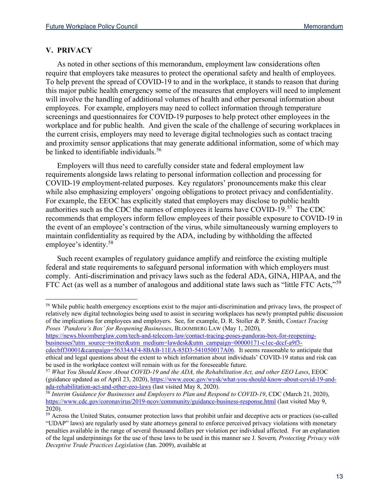## **V. PRIVACY**

As noted in other sections of this memorandum, employment law considerations often require that employers take measures to protect the operational safety and health of employees. To help prevent the spread of COVID-19 to and in the workplace, it stands to reason that during this major public health emergency some of the measures that employers will need to implement will involve the handling of additional volumes of health and other personal information about employees. For example, employers may need to collect information through temperature screenings and questionnaires for COVID-19 purposes to help protect other employees in the workplace and for public health. And given the scale of the challenge of securing workplaces in the current crisis, employers may need to leverage digital technologies such as contact tracing and proximity sensor applications that may generate additional information, some of which may be linked to identifiable individuals.<sup>[56](#page-12-0)</sup>

Employers will thus need to carefully consider state and federal employment law requirements alongside laws relating to personal information collection and processing for COVID-19 employment-related purposes. Key regulators' pronouncements make this clear while also emphasizing employers' ongoing obligations to protect privacy and confidentiality. For example, the EEOC has explicitly stated that employers may disclose to public health authorities such as the CDC the names of employees it learns have COVID-19.[57](#page-12-1) The CDC recommends that employers inform fellow employees of their possible exposure to COVID-19 in the event of an employee's contraction of the virus, while simultaneously warning employers to maintain confidentiality as required by the ADA, including by withholding the affected employee's identity.[58](#page-12-2)

Such recent examples of regulatory guidance amplify and reinforce the existing multiple federal and state requirements to safeguard personal information with which employers must comply. Anti-discrimination and privacy laws such as the federal ADA, GINA, HIPAA, and the FTC Act (as well as a number of analogous and additional state laws such as "little FTC Acts,"<sup>[59](#page-12-3)</sup>

[https://news.bloomberglaw.com/tech-and-telecom-law/contact-tracing-poses-pandoras-box-for-reopening](https://news.bloomberglaw.com/tech-and-telecom-law/contact-tracing-poses-pandoras-box-for-reopening-businesses?utm_source=twitter&utm_medium=lawdesk&utm_campaign=00000171-c1ec-dccf-a9f3-cdecbff30001&campaign=56334AF4-8BAB-11EA-85D3-541050017A06)[businesses?utm\\_source=twitter&utm\\_medium=lawdesk&utm\\_campaign=00000171-c1ec-dccf-a9f3-](https://news.bloomberglaw.com/tech-and-telecom-law/contact-tracing-poses-pandoras-box-for-reopening-businesses?utm_source=twitter&utm_medium=lawdesk&utm_campaign=00000171-c1ec-dccf-a9f3-cdecbff30001&campaign=56334AF4-8BAB-11EA-85D3-541050017A06)

<span id="page-12-0"></span><sup>56</sup> While public health emergency exceptions exist to the major anti-discrimination and privacy laws, the prospect of relatively new digital technologies being used to assist in securing workplaces has newly prompted public discussion of the implications for employees and employers. See, for example, D. R. Stoller & P. Smith, *Contact Tracing Poses 'Pandora's Box' for Reopening Businesses*, BLOOMBERG LAW (May 1, 2020),

[cdecbff30001&campaign=56334AF4-8BAB-11EA-85D3-541050017A06.](https://news.bloomberglaw.com/tech-and-telecom-law/contact-tracing-poses-pandoras-box-for-reopening-businesses?utm_source=twitter&utm_medium=lawdesk&utm_campaign=00000171-c1ec-dccf-a9f3-cdecbff30001&campaign=56334AF4-8BAB-11EA-85D3-541050017A06) It seems reasonable to anticipate that ethical and legal questions about the extent to which information about individuals' COVID-19 status and risk can be used in the workplace context will remain with us for the foreseeable future. 57 *What You Should Know About COVID-19 and the ADA, the Rehabilitation Act, and other EEO Laws*, EEOC

<span id="page-12-1"></span><sup>(</sup>guidance updated as of April 23, 2020)[, https://www.eeoc.gov/wysk/what-you-should-know-about-covid-19-and](https://www.eeoc.gov/wysk/what-you-should-know-about-covid-19-and-ada-rehabilitation-act-and-other-eeo-laws)[ada-rehabilitation-act-and-other-eeo-laws](https://www.eeoc.gov/wysk/what-you-should-know-about-covid-19-and-ada-rehabilitation-act-and-other-eeo-laws) (last visited May 8, 2020).

<span id="page-12-2"></span><sup>58</sup> *Interim Guidance for Businesses and Employers to Plan and Respond to COVID-19*, CDC (March 21, 2020), <https://www.cdc.gov/coronavirus/2019-ncov/community/guidance-business-response.html> (last visited May 9, 2020).

<span id="page-12-3"></span><sup>&</sup>lt;sup>59</sup> Across the United States, consumer protection laws that prohibit unfair and deceptive acts or practices (so-called "UDAP" laws) are regularly used by state attorneys general to enforce perceived privacy violations with monetary penalties available in the range of several thousand dollars per violation per individual affected. For an explanation of the legal underpinnings for the use of these laws to be used in this manner see J. Sovern*, Protecting Privacy with Deceptive Trade Practices Legislation* (Jan. 2009), available at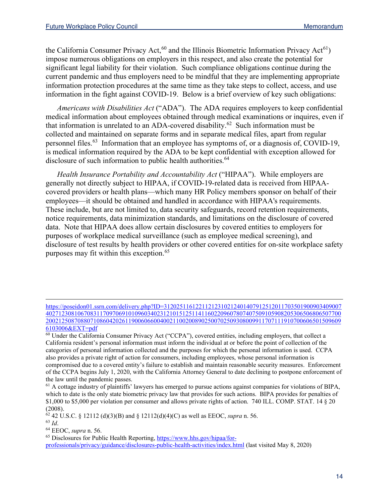the California Consumer Privacy Act,  $60$  and the Illinois Biometric Information Privacy Act<sup>61</sup>) impose numerous obligations on employers in this respect, and also create the potential for significant legal liability for their violation. Such compliance obligations continue during the current pandemic and thus employers need to be mindful that they are implementing appropriate information protection procedures at the same time as they take steps to collect, access, and use information in the fight against COVID-19. Below is a brief overview of key such obligations:

*Americans with Disabilities Act* ("ADA"). The ADA requires employers to keep confidential medical information about employees obtained through medical examinations or inquires, even if that information is unrelated to an ADA-covered disability.<sup>[62](#page-13-2)</sup> Such information must be collected and maintained on separate forms and in separate medical files, apart from regular personnel files.<sup>63</sup> Information that an employee has symptoms of, or a diagnosis of, COVID-19, is medical information required by the ADA to be kept confidential with exception allowed for disclosure of such information to public health authorities.<sup>[64](#page-13-4)</sup>

*Health Insurance Portability and Accountability Act* ("HIPAA"). While employers are generally not directly subject to HIPAA, if COVID-19-related data is received from HIPAAcovered providers or health plans—which many HR Policy members sponsor on behalf of their employees—it should be obtained and handled in accordance with HIPAA's requirements. These include, but are not limited to, data security safeguards, record retention requirements, notice requirements, data minimization standards, and limitations on the disclosure of covered data. Note that HIPAA does allow certain disclosures by covered entities to employers for purposes of workplace medical surveillance (such as employee medical screening), and disclosure of test results by health providers or other covered entities for on-site workplace safety purposes may fit within this exception.<sup>[65](#page-13-5)</sup>

```
(2008).<br><sup>62</sup> 42 U.S.C. § 12112 (d)(3)(B) and § 12112(d)(4)(C) as well as EEOC, supra n. 56.
```
<span id="page-13-3"></span><span id="page-13-2"></span><sup>63</sup> *Id*.

<span id="page-13-4"></span><sup>64</sup> EEOC, *supra* n. 56.

<span id="page-13-5"></span><sup>65</sup> Disclosures for Public Health Reporting[, https://www.hhs.gov/hipaa/for](https://www.hhs.gov/hipaa/for-professionals/privacy/guidance/disclosures-public-health-activities/index.html)[professionals/privacy/guidance/disclosures-public-health-activities/index.html](https://www.hhs.gov/hipaa/for-professionals/privacy/guidance/disclosures-public-health-activities/index.html) (last visited May 8, 2020)

[https://poseidon01.ssrn.com/delivery.php?ID=31202511612211212310212401407912512011703501900903409007](https://poseidon01.ssrn.com/delivery.php?ID=312025116122112123102124014079125120117035019009034090074027123081067083117097069101096034023121015125114116022096078074075091059082053065068065077002002125087088071086042026119006066004002110020089025007025093080099117071119107006065015096096103006&EXT=pdf) [402712308106708311709706910109603402312101512511411602209607807407509105908205306506806507700](https://poseidon01.ssrn.com/delivery.php?ID=312025116122112123102124014079125120117035019009034090074027123081067083117097069101096034023121015125114116022096078074075091059082053065068065077002002125087088071086042026119006066004002110020089025007025093080099117071119107006065015096096103006&EXT=pdf) [200212508708807108604202611900606600400211002008902500702509308009911707111910700606501509609](https://poseidon01.ssrn.com/delivery.php?ID=312025116122112123102124014079125120117035019009034090074027123081067083117097069101096034023121015125114116022096078074075091059082053065068065077002002125087088071086042026119006066004002110020089025007025093080099117071119107006065015096096103006&EXT=pdf) [6103006&EXT=pdf](https://poseidon01.ssrn.com/delivery.php?ID=312025116122112123102124014079125120117035019009034090074027123081067083117097069101096034023121015125114116022096078074075091059082053065068065077002002125087088071086042026119006066004002110020089025007025093080099117071119107006065015096096103006&EXT=pdf)

<span id="page-13-0"></span><sup>60</sup> Under the California Consumer Privacy Act ("CCPA"), covered entities, including employers, that collect a California resident's personal information must inform the individual at or before the point of collection of the categories of personal information collected and the purposes for which the personal information is used. CCPA also provides a private right of action for consumers, including employees, whose personal information is compromised due to a covered entity's failure to establish and maintain reasonable security measures. Enforcement of the CCPA begins July 1, 2020, with the California Attorney General to date declining to postpone enforcement of the law until the pandemic passes.

<span id="page-13-1"></span> $<sup>61</sup>$  A cottage industry of plaintiffs' lawyers has emerged to pursue actions against companies for violations of BIPA,</sup> which to date is the only state biometric privacy law that provides for such actions. BIPA provides for penalties of \$1,000 to \$5,000 per violation per consumer and allows private rights of action. 740 ILL. COMP. STAT. 14 § 20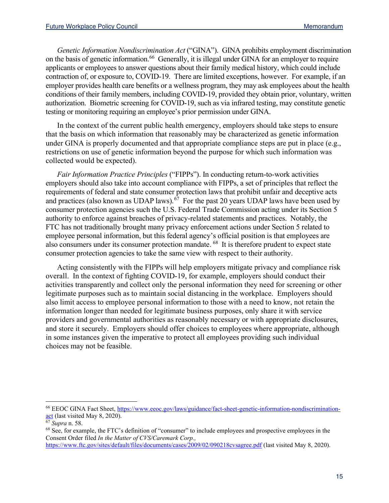*Genetic Information Nondiscrimination Act* ("GINA"). GINA prohibits employment discrimination on the basis of genetic information.<sup>[66](#page-14-0)</sup> Generally, it is illegal under GINA for an employer to require applicants or employees to answer questions about their family medical history, which could include contraction of, or exposure to, COVID-19. There are limited exceptions, however. For example, if an employer provides health care benefits or a wellness program, they may ask employees about the health conditions of their family members, including COVID-19, provided they obtain prior, voluntary, written authorization. Biometric screening for COVID-19, such as via infrared testing, may constitute genetic testing or monitoring requiring an employee's prior permission under GINA.

In the context of the current public health emergency, employers should take steps to ensure that the basis on which information that reasonably may be characterized as genetic information under GINA is properly documented and that appropriate compliance steps are put in place (e.g., restrictions on use of genetic information beyond the purpose for which such information was collected would be expected).

*Fair Information Practice Principles* ("FIPPs"). In conducting return-to-work activities employers should also take into account compliance with FIPPs, a set of principles that reflect the requirements of federal and state consumer protection laws that prohibit unfair and deceptive acts and practices (also known as UDAP laws).<sup>[67](#page-14-1)</sup> For the past 20 years UDAP laws have been used by consumer protection agencies such the U.S. Federal Trade Commission acting under its Section 5 authority to enforce against breaches of privacy-related statements and practices. Notably, the FTC has not traditionally brought many privacy enforcement actions under Section 5 related to employee personal information, but this federal agency's official position is that employees are also consumers under its consumer protection mandate. [68](#page-14-2) It is therefore prudent to expect state consumer protection agencies to take the same view with respect to their authority.

Acting consistently with the FIPPs will help employers mitigate privacy and compliance risk overall. In the context of fighting COVID-19, for example, employers should conduct their activities transparently and collect only the personal information they need for screening or other legitimate purposes such as to maintain social distancing in the workplace. Employers should also limit access to employee personal information to those with a need to know, not retain the information longer than needed for legitimate business purposes, only share it with service providers and governmental authorities as reasonably necessary or with appropriate disclosures, and store it securely. Employers should offer choices to employees where appropriate, although in some instances given the imperative to protect all employees providing such individual choices may not be feasible.

<span id="page-14-0"></span><sup>66</sup> EEOC GINA Fact Sheet, [https://www.eeoc.gov/laws/guidance/fact-sheet-genetic-information-nondiscrimination](https://www.eeoc.gov/laws/guidance/fact-sheet-genetic-information-nondiscrimination-act)[act](https://www.eeoc.gov/laws/guidance/fact-sheet-genetic-information-nondiscrimination-act) (last visited May 8, 2020).

<span id="page-14-1"></span><sup>67</sup> *Supra* n. 58.

<span id="page-14-2"></span><sup>68</sup> See, for example, the FTC's definition of "consumer" to include employees and prospective employees in the Consent Order filed *In the Matter of CVS/Caremark Corp.,*

<https://www.ftc.gov/sites/default/files/documents/cases/2009/02/090218cvsagree.pdf> (last visited May 8, 2020).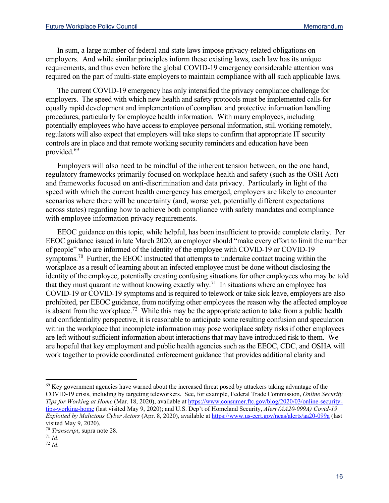In sum, a large number of federal and state laws impose privacy-related obligations on employers. And while similar principles inform these existing laws, each law has its unique requirements, and thus even before the global COVID-19 emergency considerable attention was required on the part of multi-state employers to maintain compliance with all such applicable laws.

The current COVID-19 emergency has only intensified the privacy compliance challenge for employers. The speed with which new health and safety protocols must be implemented calls for equally rapid development and implementation of compliant and protective information handling procedures, particularly for employee health information. With many employees, including potentially employees who have access to employee personal information, still working remotely, regulators will also expect that employers will take steps to confirm that appropriate IT security controls are in place and that remote working security reminders and education have been provided.<sup>[69](#page-15-0)</sup>

Employers will also need to be mindful of the inherent tension between, on the one hand, regulatory frameworks primarily focused on workplace health and safety (such as the OSH Act) and frameworks focused on anti-discrimination and data privacy. Particularly in light of the speed with which the current health emergency has emerged, employers are likely to encounter scenarios where there will be uncertainty (and, worse yet, potentially different expectations across states) regarding how to achieve both compliance with safety mandates and compliance with employee information privacy requirements.

EEOC guidance on this topic, while helpful, has been insufficient to provide complete clarity. Per EEOC guidance issued in late March 2020, an employer should "make every effort to limit the number of people" who are informed of the identity of the employee with COVID-19 or COVID-19 symptoms.<sup>[70](#page-15-1)</sup> Further, the EEOC instructed that attempts to undertake contact tracing within the workplace as a result of learning about an infected employee must be done without disclosing the identity of the employee, potentially creating confusing situations for other employees who may be told that they must quarantine without knowing exactly why.[71](#page-15-2) In situations where an employee has COVID-19 or COVID-19 symptoms and is required to telework or take sick leave, employers are also prohibited, per EEOC guidance, from notifying other employees the reason why the affected employee is absent from the workplace.<sup>[72](#page-15-3)</sup> While this may be the appropriate action to take from a public health and confidentiality perspective, it is reasonable to anticipate some resulting confusion and speculation within the workplace that incomplete information may pose workplace safety risks if other employees are left without sufficient information about interactions that may have introduced risk to them. We are hopeful that key employment and public health agencies such as the EEOC, CDC, and OSHA will work together to provide coordinated enforcement guidance that provides additional clarity and

<span id="page-15-0"></span><sup>&</sup>lt;sup>69</sup> Key government agencies have warned about the increased threat posed by attackers taking advantage of the COVID-19 crisis, including by targeting teleworkers. See, for example, Federal Trade Commission, *Online Security Tips for Working at Home* (Mar. 18, 2020), available at [https://www.consumer.ftc.gov/blog/2020/03/online-security](https://www.consumer.ftc.gov/blog/2020/03/online-security-tips-working-home)[tips-working-home](https://www.consumer.ftc.gov/blog/2020/03/online-security-tips-working-home) (last visited May 9, 2020); and U.S. Dep't of Homeland Security, *Alert (AA20-099A) Covid-19 Exploited by Malicious Cyber Actors* (Apr. 8, 2020), available at<https://www.us-cert.gov/ncas/alerts/aa20-099a> (last visited May 9, 2020).

<span id="page-15-1"></span><sup>&</sup>lt;sup>70</sup> *Transcript*, supra note 28.<br><sup>71</sup> *Id*.

<span id="page-15-3"></span><span id="page-15-2"></span> $72$  *Id.*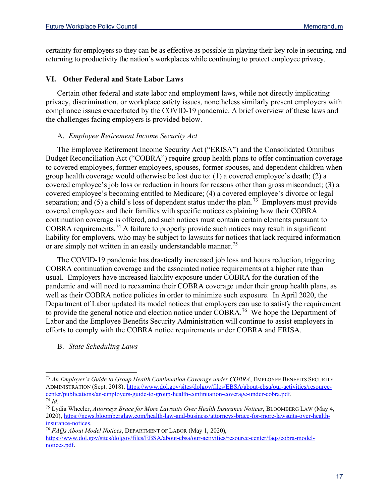certainty for employers so they can be as effective as possible in playing their key role in securing, and returning to productivity the nation's workplaces while continuing to protect employee privacy.

# **VI. Other Federal and State Labor Laws**

Certain other federal and state labor and employment laws, while not directly implicating privacy, discrimination, or workplace safety issues, nonetheless similarly present employers with compliance issues exacerbated by the COVID-19 pandemic. A brief overview of these laws and the challenges facing employers is provided below.

### A. *Employee Retirement Income Security Act*

The Employee Retirement Income Security Act ("ERISA") and the Consolidated Omnibus Budget Reconciliation Act ("COBRA") require group health plans to offer continuation coverage to covered employees, former employees, spouses, former spouses, and dependent children when group health coverage would otherwise be lost due to: (1) a covered employee's death; (2) a covered employee's job loss or reduction in hours for reasons other than gross misconduct; (3) a covered employee's becoming entitled to Medicare; (4) a covered employee's divorce or legal separation; and (5) a child's loss of dependent status under the plan.<sup>[73](#page-16-0)</sup> Employers must provide covered employees and their families with specific notices explaining how their COBRA continuation coverage is offered, and such notices must contain certain elements pursuant to COBRA requirements.[74](#page-16-1) A failure to properly provide such notices may result in significant liability for employers, who may be subject to lawsuits for notices that lack required information or are simply not written in an easily understandable manner.<sup>[75](#page-16-2)</sup>

The COVID-19 pandemic has drastically increased job loss and hours reduction, triggering COBRA continuation coverage and the associated notice requirements at a higher rate than usual. Employers have increased liability exposure under COBRA for the duration of the pandemic and will need to reexamine their COBRA coverage under their group health plans, as well as their COBRA notice policies in order to minimize such exposure. In April 2020, the Department of Labor updated its model notices that employers can use to satisfy the requirement to provide the general notice and election notice under  $COBRA$ .<sup>[76](#page-16-3)</sup> We hope the Department of Labor and the Employee Benefits Security Administration will continue to assist employers in efforts to comply with the COBRA notice requirements under COBRA and ERISA.

B. *State Scheduling Laws*

<span id="page-16-0"></span><sup>73</sup> *An Employer's Guide to Group Health Continuation Coverage under COBRA*, EMPLOYEE BENEFITS SECURITY ADMINISTRATION (Sept. 2018), [https://www.dol.gov/sites/dolgov/files/EBSA/about-ebsa/our-activities/resource](https://www.dol.gov/sites/dolgov/files/EBSA/about-ebsa/our-activities/resource-center/publications/an-employers-guide-to-group-health-continuation-coverage-under-cobra.pdf)[center/publications/an-employers-guide-to-group-health-continuation-coverage-under-cobra.pdf.](https://www.dol.gov/sites/dolgov/files/EBSA/about-ebsa/our-activities/resource-center/publications/an-employers-guide-to-group-health-continuation-coverage-under-cobra.pdf) 74 *Id*. 75 Lydia Wheeler, *Attorneys Brace for More Lawsuits Over Health Insurance Notices*, BLOOMBERG LAW (May 4,

<span id="page-16-2"></span><span id="page-16-1"></span><sup>2020),</sup> [https://news.bloomberglaw.com/health-law-and-business/attorneys-brace-for-more-lawsuits-over-health](https://news.bloomberglaw.com/health-law-and-business/attorneys-brace-for-more-lawsuits-over-health-insurance-notices)[insurance-notices.](https://news.bloomberglaw.com/health-law-and-business/attorneys-brace-for-more-lawsuits-over-health-insurance-notices)

<span id="page-16-3"></span><sup>76</sup> *FAQs About Model Notices*, DEPARTMENT OF LABOR (May 1, 2020),

[https://www.dol.gov/sites/dolgov/files/EBSA/about-ebsa/our-activities/resource-center/faqs/cobra-model](https://www.dol.gov/sites/dolgov/files/EBSA/about-ebsa/our-activities/resource-center/faqs/cobra-model-notices.pdf)[notices.pdf.](https://www.dol.gov/sites/dolgov/files/EBSA/about-ebsa/our-activities/resource-center/faqs/cobra-model-notices.pdf)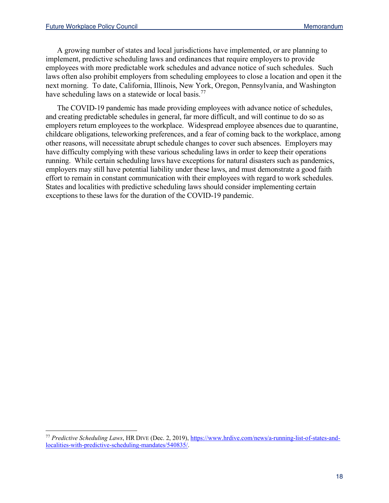A growing number of states and local jurisdictions have implemented, or are planning to implement, predictive scheduling laws and ordinances that require employers to provide employees with more predictable work schedules and advance notice of such schedules. Such laws often also prohibit employers from scheduling employees to close a location and open it the next morning. To date, California, Illinois, New York, Oregon, Pennsylvania, and Washington have scheduling laws on a statewide or local basis.<sup>[77](#page-17-0)</sup>

The COVID-19 pandemic has made providing employees with advance notice of schedules, and creating predictable schedules in general, far more difficult, and will continue to do so as employers return employees to the workplace. Widespread employee absences due to quarantine, childcare obligations, teleworking preferences, and a fear of coming back to the workplace, among other reasons, will necessitate abrupt schedule changes to cover such absences. Employers may have difficulty complying with these various scheduling laws in order to keep their operations running. While certain scheduling laws have exceptions for natural disasters such as pandemics, employers may still have potential liability under these laws, and must demonstrate a good faith effort to remain in constant communication with their employees with regard to work schedules. States and localities with predictive scheduling laws should consider implementing certain exceptions to these laws for the duration of the COVID-19 pandemic.

<span id="page-17-0"></span><sup>77</sup> *Predictive Scheduling Laws*, HR DIVE (Dec. 2, 2019)[, https://www.hrdive.com/news/a-running-list-of-states-and](https://www.hrdive.com/news/a-running-list-of-states-and-localities-with-predictive-scheduling-mandates/540835/)[localities-with-predictive-scheduling-mandates/540835/.](https://www.hrdive.com/news/a-running-list-of-states-and-localities-with-predictive-scheduling-mandates/540835/)